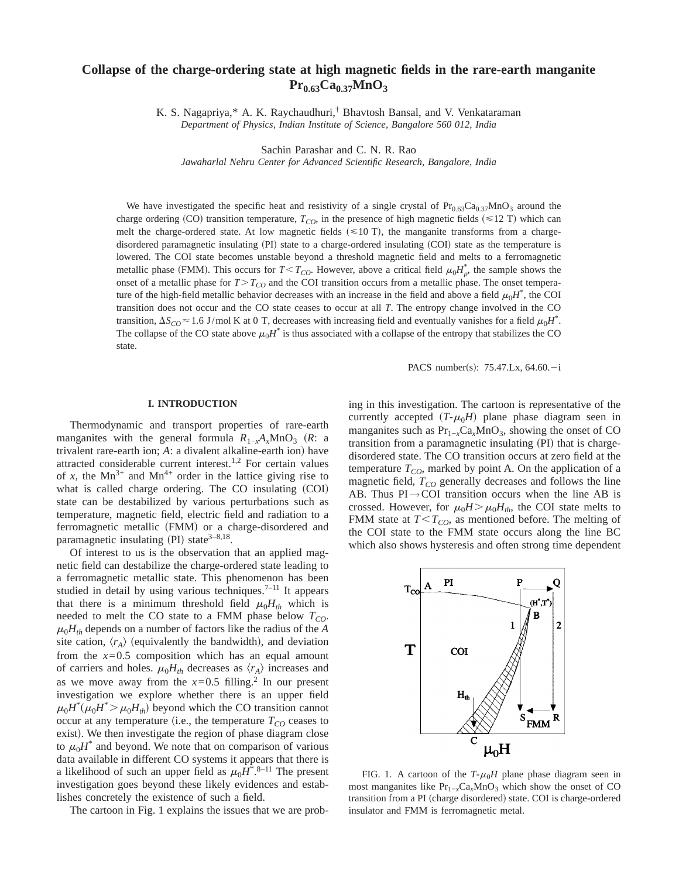# **Collapse of the charge-ordering state at high magnetic fields in the rare-earth manganite**  $Pr_{0.63}Ca_{0.37}MnO_3$

K. S. Nagapriya,\* A. K. Raychaudhuri,† Bhavtosh Bansal, and V. Venkataraman *Department of Physics, Indian Institute of Science, Bangalore 560 012, India*

Sachin Parashar and C. N. R. Rao

*Jawaharlal Nehru Center for Advanced Scientific Research, Bangalore, India*

We have investigated the specific heat and resistivity of a single crystal of  $Pr_{0.63}Ca_{0.37}MnO_3$  around the charge ordering (CO) transition temperature,  $T_{CO}$ , in the presence of high magnetic fields ( $\leq 12$  T) which can melt the charge-ordered state. At low magnetic fields  $(\leq 10 \text{ T})$ , the manganite transforms from a chargedisordered paramagnetic insulating (PI) state to a charge-ordered insulating (COI) state as the temperature is lowered. The COI state becomes unstable beyond a threshold magnetic field and melts to a ferromagnetic metallic phase (FMM). This occurs for  $T < T_{CO}$ . However, above a critical field  $\mu_0 H_{\rho}^*$ , the sample shows the onset of a metallic phase for  $T>T_{CO}$  and the COI transition occurs from a metallic phase. The onset temperature of the high-field metallic behavior decreases with an increase in the field and above a field  $\mu_0H^*$ , the COI transition does not occur and the CO state ceases to occur at all *T*. The entropy change involved in the CO transition,  $\Delta S_{CO} \approx 1.6$  J/mol K at 0 T, decreases with increasing field and eventually vanishes for a field  $\mu_0 H^*$ . The collapse of the CO state above  $\mu_0 H^*$  is thus associated with a collapse of the entropy that stabilizes the CO state.

PACS number(s):  $75.47$ .Lx,  $64.60 - i$ 

#### **I. INTRODUCTION**

Thermodynamic and transport properties of rare-earth manganites with the general formula  $R_{1-x}A_xMnO_3$  (R: a trivalent rare-earth ion; *A*: a divalent alkaline-earth ion) have attracted considerable current interest.1,2 For certain values of *x*, the Mn<sup>3+</sup> and Mn<sup>4+</sup> order in the lattice giving rise to what is called charge ordering. The CO insulating (COI) state can be destabilized by various perturbations such as temperature, magnetic field, electric field and radiation to a ferromagnetic metallic (FMM) or a charge-disordered and paramagnetic insulating (PI) state $3-8,18$ .

Of interest to us is the observation that an applied magnetic field can destabilize the charge-ordered state leading to a ferromagnetic metallic state. This phenomenon has been studied in detail by using various techniques.<sup>7-11</sup> It appears that there is a minimum threshold field  $\mu_0 H_{th}$  which is needed to melt the CO state to a FMM phase below  $T_{CO}$ .  $\mu_0 H_{th}$  depends on a number of factors like the radius of the *A* site cation,  $\langle r_A \rangle$  (equivalently the bandwidth), and deviation from the  $x=0.5$  composition which has an equal amount of carriers and holes.  $\mu_0 H_{th}$  decreases as  $\langle r_A \rangle$  increases and as we move away from the  $x=0.5$  filling.<sup>2</sup> In our present investigation we explore whether there is an upper field  $\mu_0 H^* (\mu_0 H^* > \mu_0 H_{th})$  beyond which the CO transition cannot occur at any temperature (i.e., the temperature  $T_{CO}$  ceases to exist). We then investigate the region of phase diagram close to  $\mu_0 H^*$  and beyond. We note that on comparison of various data available in different CO systems it appears that there is a likelihood of such an upper field as  $\mu_0 H^*$ .<sup>8–11</sup> The present investigation goes beyond these likely evidences and establishes concretely the existence of such a field.

The cartoon in Fig. 1 explains the issues that we are prob-

ing in this investigation. The cartoon is representative of the currently accepted  $(T-\mu_0H)$  plane phase diagram seen in manganites such as  $Pr_{1-x}Ca_xMnO_3$ , showing the onset of CO transition from a paramagnetic insulating (PI) that is chargedisordered state. The CO transition occurs at zero field at the temperature  $T_{CO}$ , marked by point A. On the application of a magnetic field,  $T_{CO}$  generally decreases and follows the line AB. Thus  $PI \rightarrow COI$  transition occurs when the line AB is crossed. However, for  $\mu_0H > \mu_0H_{th}$ , the COI state melts to FMM state at  $T < T_{CO}$ , as mentioned before. The melting of the COI state to the FMM state occurs along the line BC which also shows hysteresis and often strong time dependent



FIG. 1. A cartoon of the  $T-\mu_0H$  plane phase diagram seen in most manganites like Pr<sub>1−*x*</sub>Ca<sub>*x*</sub>MnO<sub>3</sub> which show the onset of CO transition from a PI (charge disordered) state. COI is charge-ordered insulator and FMM is ferromagnetic metal.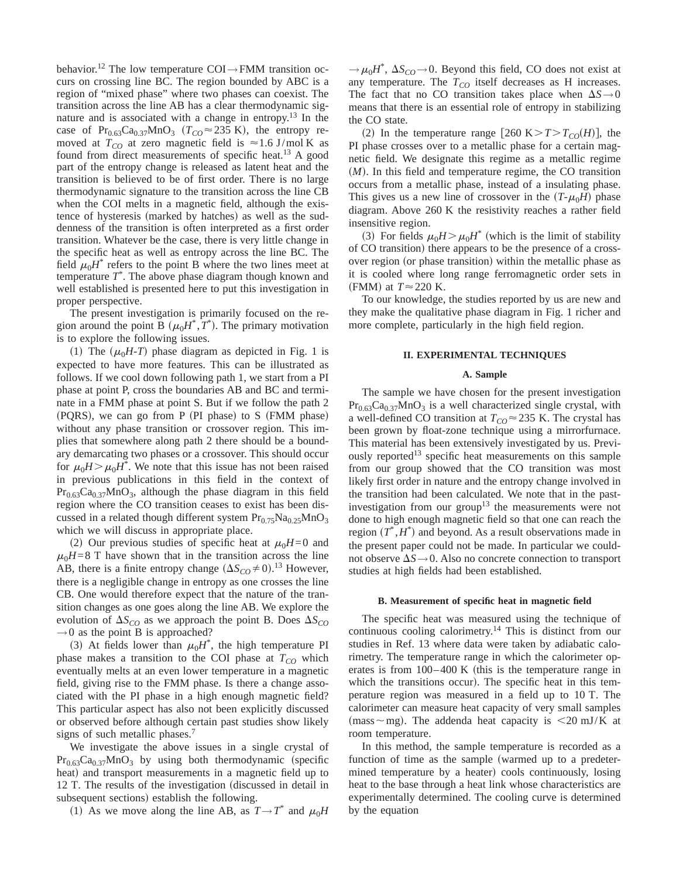behavior.<sup>12</sup> The low temperature COI $\rightarrow$ FMM transition occurs on crossing line BC. The region bounded by ABC is a region of "mixed phase" where two phases can coexist. The transition across the line AB has a clear thermodynamic signature and is associated with a change in entropy.<sup>13</sup> In the case of Pr<sub>0.63</sub>Ca<sub>0.37</sub>MnO<sub>3</sub> ( $T_{CO} \approx 235$  K), the entropy removed at  $T_{CO}$  at zero magnetic field is  $\approx 1.6$  J/mol K as found from direct measurements of specific heat.<sup>13</sup> A good part of the entropy change is released as latent heat and the transition is believed to be of first order. There is no large thermodynamic signature to the transition across the line CB when the COI melts in a magnetic field, although the existence of hysteresis (marked by hatches) as well as the suddenness of the transition is often interpreted as a first order transition. Whatever be the case, there is very little change in the specific heat as well as entropy across the line BC. The field  $\mu_0H^*$  refers to the point B where the two lines meet at temperature *T*\* . The above phase diagram though known and well established is presented here to put this investigation in proper perspective.

The present investigation is primarily focused on the region around the point B  $(\mu_0 H^*, T^*)$ . The primary motivation is to explore the following issues.

(1) The  $(\mu_0H-T)$  phase diagram as depicted in Fig. 1 is expected to have more features. This can be illustrated as follows. If we cool down following path 1, we start from a PI phase at point P, cross the boundaries AB and BC and terminate in a FMM phase at point S. But if we follow the path 2  $(PQRS)$ , we can go from P  $(PI phase)$  to S  $(FMM phase)$ without any phase transition or crossover region. This implies that somewhere along path 2 there should be a boundary demarcating two phases or a crossover. This should occur for  $\mu_0 H > \mu_0 H^*$ . We note that this issue has not been raised in previous publications in this field in the context of  $Pr_{0.63}Ca_{0.37}MnO_3$ , although the phase diagram in this field region where the CO transition ceases to exist has been discussed in a related though different system  $Pr<sub>0.75</sub>Na<sub>0.25</sub>MnO<sub>3</sub>$ which we will discuss in appropriate place.

(2) Our previous studies of specific heat at  $\mu_0H=0$  and  $\mu_0H=8$  T have shown that in the transition across the line AB, there is a finite entropy change  $(\Delta S_{CO} \neq 0).^{13}$  However, there is a negligible change in entropy as one crosses the line CB. One would therefore expect that the nature of the transition changes as one goes along the line AB. We explore the evolution of  $\Delta S_{CO}$  as we approach the point B. Does  $\Delta S_{CO}$  $\rightarrow$  0 as the point B is approached?

(3) At fields lower than  $\mu_0 H^*$ , the high temperature PI phase makes a transition to the COI phase at  $T_{CO}$  which eventually melts at an even lower temperature in a magnetic field, giving rise to the FMM phase. Is there a change associated with the PI phase in a high enough magnetic field? This particular aspect has also not been explicitly discussed or observed before although certain past studies show likely signs of such metallic phases.<sup>7</sup>

We investigate the above issues in a single crystal of  $Pr_{0.63}Ca_{0.37}MnO_3$  by using both thermodynamic (specific heat) and transport measurements in a magnetic field up to 12 T. The results of the investigation (discussed in detail in subsequent sections) establish the following.

(1) As we move along the line AB, as  $T \rightarrow T^*$  and  $\mu_0 H$ 

 $\rightarrow \mu_0 H^*$ ,  $\Delta S_{CO} \rightarrow 0$ . Beyond this field, CO does not exist at any temperature. The  $T_{CO}$  itself decreases as H increases. The fact that no CO transition takes place when  $\Delta S \rightarrow 0$ means that there is an essential role of entropy in stabilizing the CO state.

(2) In the temperature range [260 K $>T>T_{CO}(H)$ ], the PI phase crosses over to a metallic phase for a certain magnetic field. We designate this regime as a metallic regime  $(M)$ . In this field and temperature regime, the CO transition occurs from a metallic phase, instead of a insulating phase. This gives us a new line of crossover in the  $(T-\mu_0H)$  phase diagram. Above 260 K the resistivity reaches a rather field insensitive region.

(3) For fields  $\mu_0 H > \mu_0 H^*$  (which is the limit of stability of CO transition) there appears to be the presence of a crossover region (or phase transition) within the metallic phase as it is cooled where long range ferromagnetic order sets in (FMM) at  $T \approx 220$  K.

To our knowledge, the studies reported by us are new and they make the qualitative phase diagram in Fig. 1 richer and more complete, particularly in the high field region.

### **II. EXPERIMENTAL TECHNIQUES**

#### **A. Sample**

The sample we have chosen for the present investigation  $Pr<sub>0.63</sub>Ca<sub>0.37</sub>MnO<sub>3</sub>$  is a well characterized single crystal, with a well-defined CO transition at  $T_{CO} \approx 235$  K. The crystal has been grown by float-zone technique using a mirrorfurnace. This material has been extensively investigated by us. Previously reported<sup>13</sup> specific heat measurements on this sample from our group showed that the CO transition was most likely first order in nature and the entropy change involved in the transition had been calculated. We note that in the pastinvestigation from our group<sup>13</sup> the measurements were not done to high enough magnetic field so that one can reach the region  $(T^*, H^*)$  and beyond. As a result observations made in the present paper could not be made. In particular we couldnot observe  $\Delta S \rightarrow 0$ . Also no concrete connection to transport studies at high fields had been established.

#### **B. Measurement of specific heat in magnetic field**

The specific heat was measured using the technique of continuous cooling calorimetry.14 This is distinct from our studies in Ref. 13 where data were taken by adiabatic calorimetry. The temperature range in which the calorimeter operates is from  $100-400$  K (this is the temperature range in which the transitions occur). The specific heat in this temperature region was measured in a field up to 10 T. The calorimeter can measure heat capacity of very small samples  $(mass \sim mg)$ . The addenda heat capacity is  $\leq 20$  mJ/K at room temperature.

In this method, the sample temperature is recorded as a function of time as the sample (warmed up to a predetermined temperature by a heater) cools continuously, losing heat to the base through a heat link whose characteristics are experimentally determined. The cooling curve is determined by the equation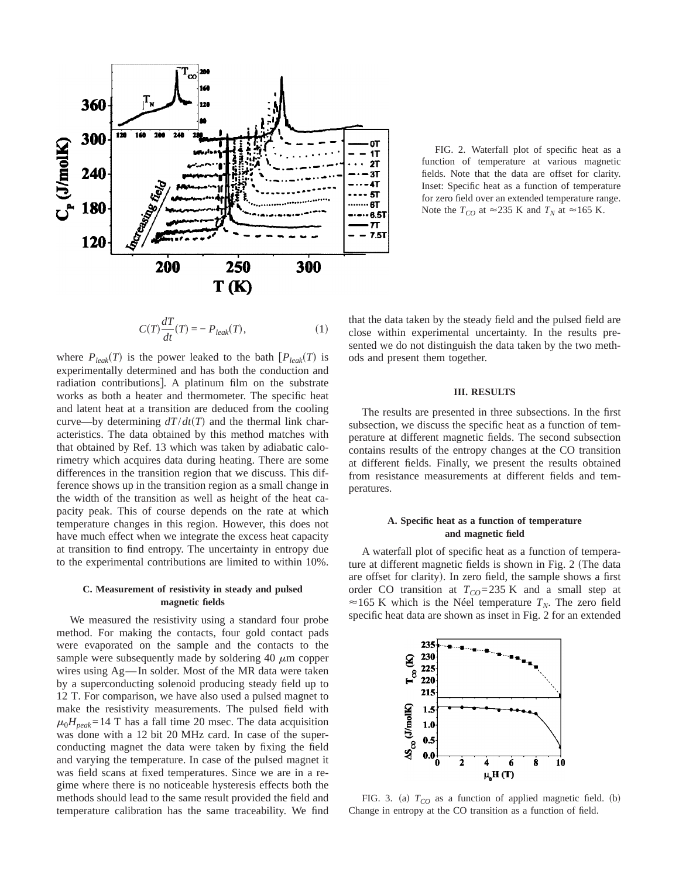

FIG. 2. Waterfall plot of specific heat as a function of temperature at various magnetic fields. Note that the data are offset for clarity. Inset: Specific heat as a function of temperature for zero field over an extended temperature range. Note the  $T_{CO}$  at  $\approx$  235 K and  $T_N$  at  $\approx$  165 K.

$$
C(T)\frac{dT}{dt}(T) = -P_{leak}(T),\tag{1}
$$

where  $P_{leak}(T)$  is the power leaked to the bath  $[P_{leak}(T)]$  is experimentally determined and has both the conduction and radiation contributions]. A platinum film on the substrate works as both a heater and thermometer. The specific heat and latent heat at a transition are deduced from the cooling curve—by determining  $dT/dt(T)$  and the thermal link characteristics. The data obtained by this method matches with that obtained by Ref. 13 which was taken by adiabatic calorimetry which acquires data during heating. There are some differences in the transition region that we discuss. This difference shows up in the transition region as a small change in the width of the transition as well as height of the heat capacity peak. This of course depends on the rate at which temperature changes in this region. However, this does not have much effect when we integrate the excess heat capacity at transition to find entropy. The uncertainty in entropy due to the experimental contributions are limited to within 10%.

### **C. Measurement of resistivity in steady and pulsed magnetic fields**

We measured the resistivity using a standard four probe method. For making the contacts, four gold contact pads were evaporated on the sample and the contacts to the sample were subsequently made by soldering 40  $\mu$ m copper wires using Ag—In solder. Most of the MR data were taken by a superconducting solenoid producing steady field up to 12 T. For comparison, we have also used a pulsed magnet to make the resistivity measurements. The pulsed field with  $\mu_0 H_{peak} = 14$  T has a fall time 20 msec. The data acquisition was done with a 12 bit 20 MHz card. In case of the superconducting magnet the data were taken by fixing the field and varying the temperature. In case of the pulsed magnet it was field scans at fixed temperatures. Since we are in a regime where there is no noticeable hysteresis effects both the methods should lead to the same result provided the field and temperature calibration has the same traceability. We find that the data taken by the steady field and the pulsed field are close within experimental uncertainty. In the results presented we do not distinguish the data taken by the two methods and present them together.

#### **III. RESULTS**

The results are presented in three subsections. In the first subsection, we discuss the specific heat as a function of temperature at different magnetic fields. The second subsection contains results of the entropy changes at the CO transition at different fields. Finally, we present the results obtained from resistance measurements at different fields and temperatures.

## **A. Specific heat as a function of temperature and magnetic field**

A waterfall plot of specific heat as a function of temperature at different magnetic fields is shown in Fig. 2 (The data are offset for clarity). In zero field, the sample shows a first order CO transition at  $T_{CO} = 235$  K and a small step at  $\approx$  165 K which is the Néel temperature  $T_N$ . The zero field specific heat data are shown as inset in Fig. 2 for an extended



FIG. 3. (a)  $T_{CO}$  as a function of applied magnetic field. (b) Change in entropy at the CO transition as a function of field.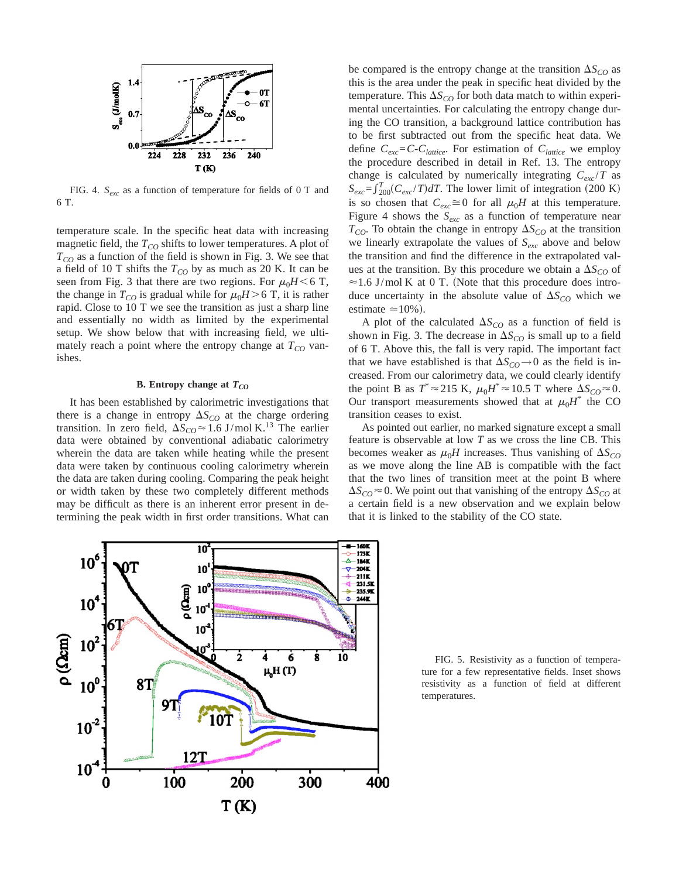

FIG. 4. *Sexc* as a function of temperature for fields of 0 T and 6 T.

temperature scale. In the specific heat data with increasing magnetic field, the  $T_{CO}$  shifts to lower temperatures. A plot of  $T_{CO}$  as a function of the field is shown in Fig. 3. We see that a field of 10 T shifts the  $T_{CO}$  by as much as 20 K. It can be seen from Fig. 3 that there are two regions. For  $\mu_0H < 6$  T, the change in  $T_{CO}$  is gradual while for  $\mu_0H > 6$  T, it is rather rapid. Close to 10 T we see the transition as just a sharp line and essentially no width as limited by the experimental setup. We show below that with increasing field, we ultimately reach a point where the entropy change at  $T_{CO}$  vanishes.

## **B.** Entropy change at  $T_{CO}$

It has been established by calorimetric investigations that there is a change in entropy  $\Delta S_{CO}$  at the charge ordering transition. In zero field,  $\Delta S_{CO} \approx 1.6 \text{ J/mol K.}^{13}$  The earlier data were obtained by conventional adiabatic calorimetry wherein the data are taken while heating while the present data were taken by continuous cooling calorimetry wherein the data are taken during cooling. Comparing the peak height or width taken by these two completely different methods may be difficult as there is an inherent error present in determining the peak width in first order transitions. What can be compared is the entropy change at the transition  $\Delta S_{CO}$  as this is the area under the peak in specific heat divided by the temperature. This  $\Delta S_{CO}$  for both data match to within experimental uncertainties. For calculating the entropy change during the CO transition, a background lattice contribution has to be first subtracted out from the specific heat data. We define  $C_{exc} = C - C_{lattice}$ . For estimation of  $C_{lattice}$  we employ the procedure described in detail in Ref. 13. The entropy change is calculated by numerically integrating  $C_{exc}/T$  as  $S_{exc} = \int_{200}^{T} (C_{exc}/T) dT$ . The lower limit of integration (200 K) is so chosen that  $C_{exc} \cong 0$  for all  $\mu_0 H$  at this temperature. Figure 4 shows the  $S_{exc}$  as a function of temperature near  $T_{CO}$ . To obtain the change in entropy  $\Delta S_{CO}$  at the transition we linearly extrapolate the values of *Sexc* above and below the transition and find the difference in the extrapolated values at the transition. By this procedure we obtain a  $\Delta S_{CO}$  of  $\approx$  1.6 J/mol K at 0 T. (Note that this procedure does introduce uncertainty in the absolute value of  $\Delta S_{CO}$  which we estimate  $\simeq$  10%).

A plot of the calculated  $\Delta S_{CO}$  as a function of field is shown in Fig. 3. The decrease in  $\Delta S_{CO}$  is small up to a field of 6 T. Above this, the fall is very rapid. The important fact that we have established is that  $\Delta S_{CO}$   $\rightarrow$  0 as the field is increased. From our calorimetry data, we could clearly identify the point B as  $T^* \approx 215 \text{ K}$ ,  $\mu_0 H^* \approx 10.5 \text{ T}$  where  $\Delta S_{CO} \approx 0$ . Our transport measurements showed that at  $\mu_0 H^*$  the CO transition ceases to exist.

As pointed out earlier, no marked signature except a small feature is observable at low *T* as we cross the line CB. This becomes weaker as  $\mu_0H$  increases. Thus vanishing of  $\Delta S_{CO}$ as we move along the line AB is compatible with the fact that the two lines of transition meet at the point B where  $\Delta S_{CO}$   $\approx$  0. We point out that vanishing of the entropy  $\Delta S_{CO}$  at a certain field is a new observation and we explain below that it is linked to the stability of the CO state.



FIG. 5. Resistivity as a function of temperature for a few representative fields. Inset shows resistivity as a function of field at different temperatures.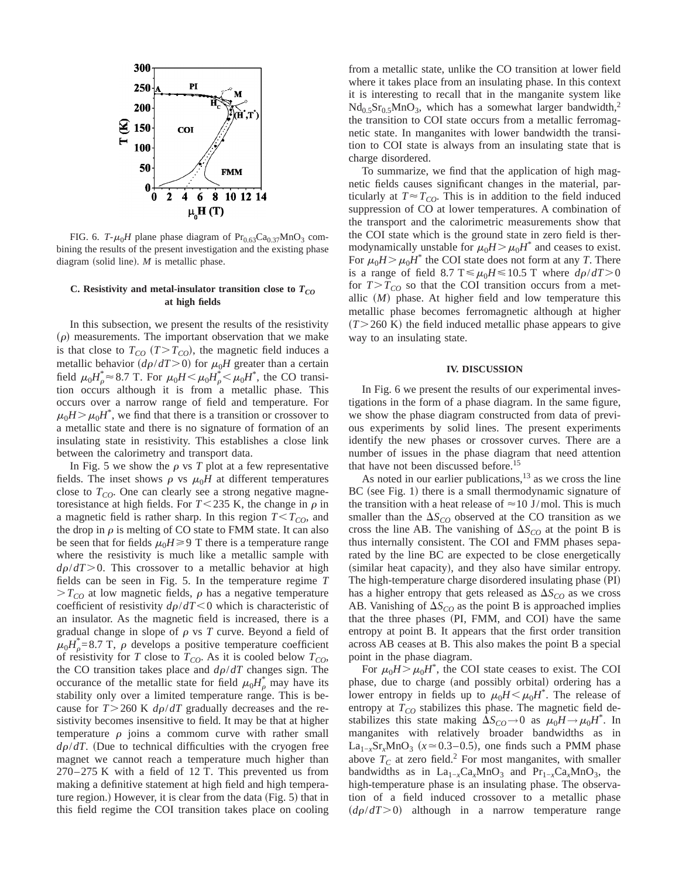

FIG. 6.  $T-\mu_0H$  plane phase diagram of  $Pr_{0.63}Ca_{0.37}MnO_3$  combining the results of the present investigation and the existing phase diagram (solid line).  $M$  is metallic phase.

## C. Resistivity and metal-insulator transition close to  $T_{CO}$ **at high fields**

In this subsection, we present the results of the resistivity  $(\rho)$  measurements. The important observation that we make is that close to  $T_{CO}$  ( $T>T_{CO}$ ), the magnetic field induces a metallic behavior  $(d\rho/dT>0)$  for  $\mu_0H$  greater than a certain field  $\mu_0 H^*_{\rho} \approx 8.7$  T. For  $\mu_0 H \le \mu_0 H^*_{\rho} \le \mu_0 H^*$ , the CO transition occurs although it is from a metallic phase. This occurs over a narrow range of field and temperature. For  $\mu_0 H > \mu_0 H^*$ , we find that there is a transition or crossover to a metallic state and there is no signature of formation of an insulating state in resistivity. This establishes a close link between the calorimetry and transport data.

In Fig. 5 we show the  $\rho$  vs *T* plot at a few representative fields. The inset shows  $\rho$  vs  $\mu_0H$  at different temperatures close to  $T_{CO}$ . One can clearly see a strong negative magnetoresistance at high fields. For  $T < 235$  K, the change in  $\rho$  in a magnetic field is rather sharp. In this region  $T < T_{CO}$ , and the drop in  $\rho$  is melting of CO state to FMM state. It can also be seen that for fields  $\mu_0H \geq 9$  T there is a temperature range where the resistivity is much like a metallic sample with  $d\rho/dT$  > 0. This crossover to a metallic behavior at high fields can be seen in Fig. 5. In the temperature regime *T*  $>T_{CO}$  at low magnetic fields,  $\rho$  has a negative temperature coefficient of resistivity  $d\rho/dT < 0$  which is characteristic of an insulator. As the magnetic field is increased, there is a gradual change in slope of  $\rho$  vs  $T$  curve. Beyond a field of  $\mu_0 H^*_{\rho} = 8.7$  T,  $\rho$  develops a positive temperature coefficient of resistivity for *T* close to  $T_{CO}$ . As it is cooled below  $T_{CO}$ , the CO transition takes place and  $d\rho/dT$  changes sign. The occurance of the metallic state for field  $\mu_0 H_\rho^*$  may have its stability only over a limited temperature range. This is because for  $T > 260$  K  $d\rho/dT$  gradually decreases and the resistivity becomes insensitive to field. It may be that at higher temperature  $\rho$  joins a commom curve with rather small  $d\rho/dT$ . (Due to technical difficulties with the cryogen free magnet we cannot reach a temperature much higher than 270–275 K with a field of 12 T. This prevented us from making a definitive statement at high field and high temperature region.) However, it is clear from the data (Fig.  $5$ ) that in this field regime the COI transition takes place on cooling

from a metallic state, unlike the CO transition at lower field where it takes place from an insulating phase. In this context it is interesting to recall that in the manganite system like  $Nd<sub>0.5</sub>Sr<sub>0.5</sub>MnO<sub>3</sub>$ , which has a somewhat larger bandwidth,<sup>2</sup> the transition to COI state occurs from a metallic ferromagnetic state. In manganites with lower bandwidth the transition to COI state is always from an insulating state that is charge disordered.

To summarize, we find that the application of high magnetic fields causes significant changes in the material, particularly at  $T \approx T_{CO}$ . This is in addition to the field induced suppression of CO at lower temperatures. A combination of the transport and the calorimetric measurements show that the COI state which is the ground state in zero field is thermodynamically unstable for  $\mu_0H > \mu_0H^*$  and ceases to exist. For  $\mu_0 H > \mu_0 H^*$  the COI state does not form at any *T*. There is a range of field 8.7 T  $\leq \mu_0 H \leq 10.5$  T where  $d\rho/dT > 0$ for  $T>T_{CO}$  so that the COI transition occurs from a metallic  $(M)$  phase. At higher field and low temperature this metallic phase becomes ferromagnetic although at higher  $(T>260 \text{ K})$  the field induced metallic phase appears to give way to an insulating state.

#### **IV. DISCUSSION**

In Fig. 6 we present the results of our experimental investigations in the form of a phase diagram. In the same figure, we show the phase diagram constructed from data of previous experiments by solid lines. The present experiments identify the new phases or crossover curves. There are a number of issues in the phase diagram that need attention that have not been discussed before.<sup>15</sup>

As noted in our earlier publications, $13$  as we cross the line  $BC$  (see Fig. 1) there is a small thermodynamic signature of the transition with a heat release of  $\approx$  10 J/mol. This is much smaller than the  $\Delta S_{CO}$  observed at the CO transition as we cross the line AB. The vanishing of  $\Delta S_{CO}$  at the point B is thus internally consistent. The COI and FMM phases separated by the line BC are expected to be close energetically (similar heat capacity), and they also have similar entropy. The high-temperature charge disordered insulating phase (PI) has a higher entropy that gets released as  $\Delta S_{CO}$  as we cross AB. Vanishing of  $\Delta S_{CO}$  as the point B is approached implies that the three phases (PI, FMM, and COI) have the same entropy at point B. It appears that the first order transition across AB ceases at B. This also makes the point B a special point in the phase diagram.

For  $\mu_0 H > \mu_0 H^*$ , the COI state ceases to exist. The COI phase, due to charge (and possibly orbital) ordering has a lower entropy in fields up to  $\mu_0 H \leq \mu_0 H^*$ . The release of entropy at  $T_{CO}$  stabilizes this phase. The magnetic field destabilizes this state making  $\Delta S_{CO} \rightarrow 0$  as  $\mu_0 H \rightarrow \mu_0 H^*$ . In manganites with relatively broader bandwidths as in La<sub>1−*x*</sub>Sr<sub>*x*</sub>MnO<sub>3</sub> ( $x \approx 0.3-0.5$ ), one finds such a PMM phase above  $T_c$  at zero field.<sup>2</sup> For most manganites, with smaller bandwidths as in  $La_{1-x}Ca_xMnO_3$  and  $Pr_{1-x}Ca_xMnO_3$ , the high-temperature phase is an insulating phase. The observation of a field induced crossover to a metallic phase  $(d\rho/dT>0)$  although in a narrow temperature range